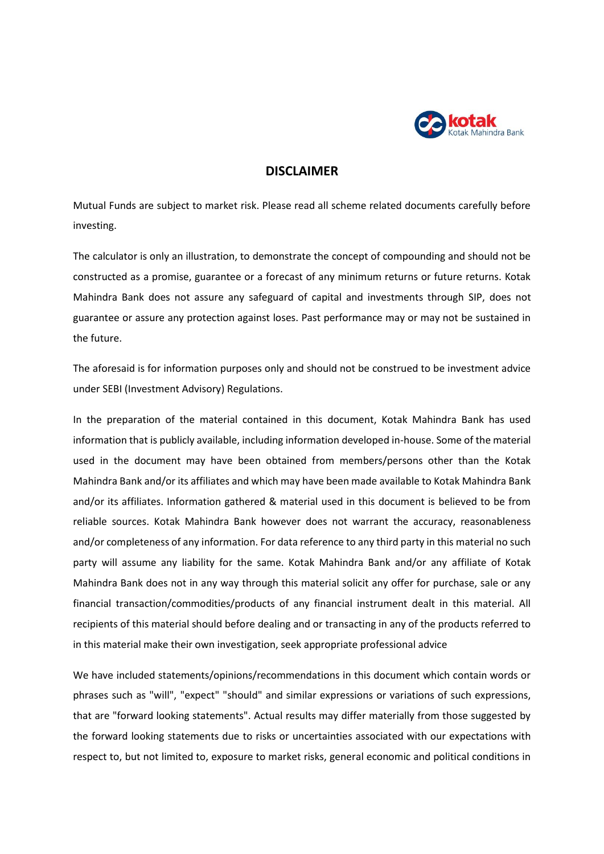

## **DISCLAIMER**

Mutual Funds are subject to market risk. Please read all scheme related documents carefully before investing.

The calculator is only an illustration, to demonstrate the concept of compounding and should not be constructed as a promise, guarantee or a forecast of any minimum returns or future returns. Kotak Mahindra Bank does not assure any safeguard of capital and investments through SIP, does not guarantee or assure any protection against loses. Past performance may or may not be sustained in the future.

The aforesaid is for information purposes only and should not be construed to be investment advice under SEBI (Investment Advisory) Regulations.

In the preparation of the material contained in this document, Kotak Mahindra Bank has used information that is publicly available, including information developed in-house. Some of the material used in the document may have been obtained from members/persons other than the Kotak Mahindra Bank and/or its affiliates and which may have been made available to Kotak Mahindra Bank and/or its affiliates. Information gathered & material used in this document is believed to be from reliable sources. Kotak Mahindra Bank however does not warrant the accuracy, reasonableness and/or completeness of any information. For data reference to any third party in this material no such party will assume any liability for the same. Kotak Mahindra Bank and/or any affiliate of Kotak Mahindra Bank does not in any way through this material solicit any offer for purchase, sale or any financial transaction/commodities/products of any financial instrument dealt in this material. All recipients of this material should before dealing and or transacting in any of the products referred to in this material make their own investigation, seek appropriate professional advice

We have included statements/opinions/recommendations in this document which contain words or phrases such as "will", "expect" "should" and similar expressions or variations of such expressions, that are "forward looking statements". Actual results may differ materially from those suggested by the forward looking statements due to risks or uncertainties associated with our expectations with respect to, but not limited to, exposure to market risks, general economic and political conditions in